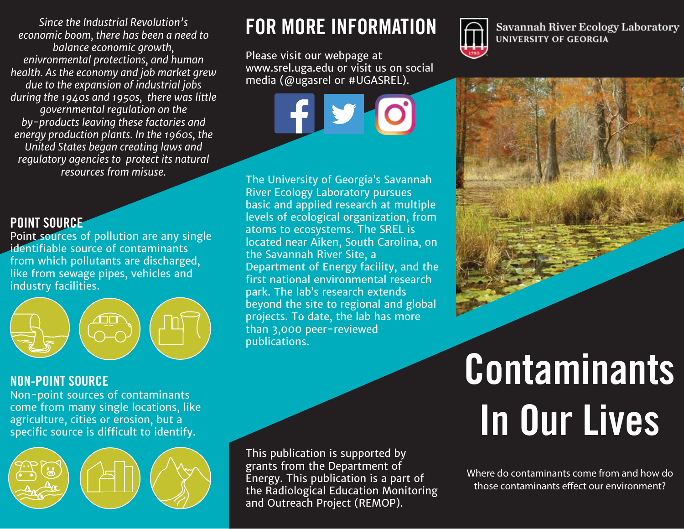*Since the Industrial Revolution's economic boom, there has been a need to balance economic growth, enivronmental protections, and human health. As the economy and job market grew due to the expansion of industrial jobs during the 1940s and 1950s, there was little governmental regulation on the by-products leaving these factories and energy production plants. In the 1960s, the United States began creating laws and regulatory agencies to protect its natural resources from misuse.*

#### POINT SOURCE

Point sources of pollution are any single identifiable source of contaminants from which pollutants are discharged, like from sewage pipes, vehicles and industry facilities.



#### NON-POINT SOURCE

Non-point sources of contaminants come from many single locations, like agriculture, cities or erosion, but a specific source is difficult to identify.



## FOR MORE INFORMATION

Please visit our webpage at www.srel.uga.edu or visit us on social media (@ugasrel or #UGASREL).

The University of Georgia's Savannah River Ecology Laboratory pursues basic and applied research at multiple levels of ecological organization, from atoms to ecosystems. The SREL is located near Aiken, South Carolina, on the Savannah River Site, a Department of Energy facility, and the first national environmental research park. The lab's research extends beyond the site to regional and global projects. To date, the lab has more than 3,000 peer-reviewed publications.

This publication is supported by grants from the Department of Energy. This publication is a part of the Radiological Education Monitoring and Outreach Project (REMOP).



**Savannah River Ecology Laboratory** UNIVERSITY OF GEORGIA



# Contaminants In Our Lives

Where do contaminants come from and how do those contaminants effect our environment?